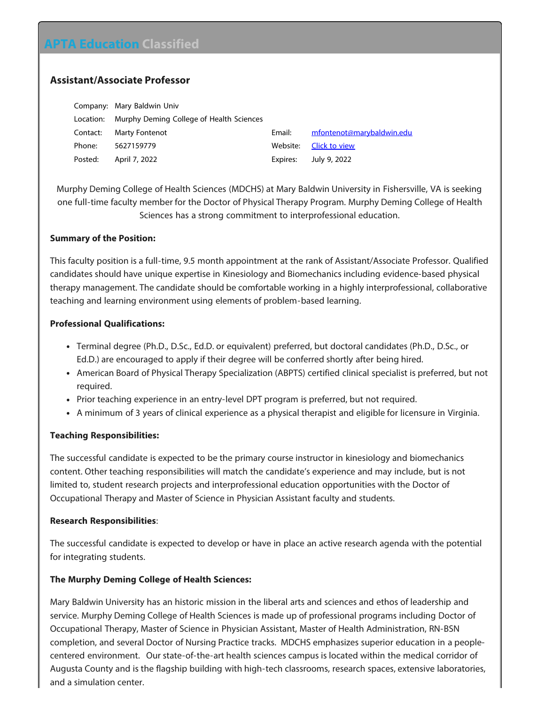# **APTA Education Classified**

## **Assistant/Associate Professor**

|           | Company: Mary Baldwin Univ               |          |                           |
|-----------|------------------------------------------|----------|---------------------------|
| Location: | Murphy Deming College of Health Sciences |          |                           |
| Contact:  | <b>Marty Fontenot</b>                    | Email:   | mfontenot@marybaldwin.edu |
| Phone:    | 5627159779                               | Website: | Click to view             |
| Posted:   | April 7, 2022                            | Expires: | July 9, 2022              |

Murphy Deming College of Health Sciences (MDCHS) at Mary Baldwin University in Fishersville, VA is seeking one full-time faculty member for the Doctor of Physical Therapy Program. Murphy Deming College of Health Sciences has a strong commitment to interprofessional education.

#### **Summary of the Position:**

This faculty position is a full-time, 9.5 month appointment at the rank of Assistant/Associate Professor. Qualified candidates should have unique expertise in Kinesiology and Biomechanics including evidence-based physical therapy management. The candidate should be comfortable working in a highly interprofessional, collaborative teaching and learning environment using elements of problem-based learning.

### **Professional Qualifications:**

- Terminal degree (Ph.D., D.Sc., Ed.D. or equivalent) preferred, but doctoral candidates (Ph.D., D.Sc., or Ed.D.) are encouraged to apply if their degree will be conferred shortly after being hired.
- American Board of Physical Therapy Specialization (ABPTS) certified clinical specialist is preferred, but not required.
- Prior teaching experience in an entry-level DPT program is preferred, but not required.
- A minimum of 3 years of clinical experience as a physical therapist and eligible for licensure in Virginia.

### **Teaching Responsibilities:**

The successful candidate is expected to be the primary course instructor in kinesiology and biomechanics content. Other teaching responsibilities will match the candidate's experience and may include, but is not limited to, student research projects and interprofessional education opportunities with the Doctor of Occupational Therapy and Master of Science in Physician Assistant faculty and students.

### **Research Responsibilities**:

The successful candidate is expected to develop or have in place an active research agenda with the potential for integrating students.

### **The Murphy Deming College of Health Sciences:**

Mary Baldwin University has an historic mission in the liberal arts and sciences and ethos of leadership and service. Murphy Deming College of Health Sciences is made up of professional programs including Doctor of Occupational Therapy, Master of Science in Physician Assistant, Master of Health Administration, RN-BSN completion, and several Doctor of Nursing Practice tracks. MDCHS emphasizes superior education in a peoplecentered environment. Our state-of-the-art health sciences campus is located within the medical corridor of Augusta County and is the flagship building with high-tech classrooms, research spaces, extensive laboratories, and a simulation center.